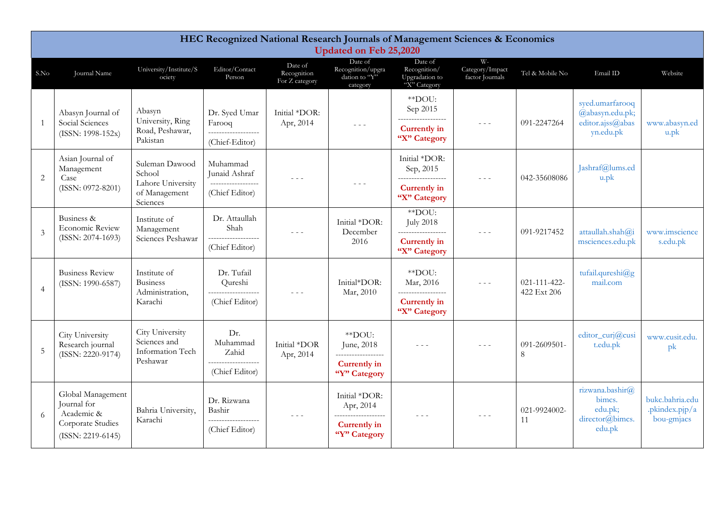|                | HEC Recognized National Research Journals of Management Sciences & Economics<br><b>Updated on Feb 25,2020</b>                             |                                                                 |                                                                |                                                                                                |                                                                                                                                                                                                                                                                                                                                                                                              |                                                                      |                                                        |                                    |                                                                     |                                                 |  |  |
|----------------|-------------------------------------------------------------------------------------------------------------------------------------------|-----------------------------------------------------------------|----------------------------------------------------------------|------------------------------------------------------------------------------------------------|----------------------------------------------------------------------------------------------------------------------------------------------------------------------------------------------------------------------------------------------------------------------------------------------------------------------------------------------------------------------------------------------|----------------------------------------------------------------------|--------------------------------------------------------|------------------------------------|---------------------------------------------------------------------|-------------------------------------------------|--|--|
| S.No           | Journal Name                                                                                                                              | University/Institute/S<br>ociety                                | Editor/Contact<br>Person                                       | Date of<br>Recognition<br>For Z category                                                       | Date of<br>Recognition/upgra<br>dation to "Y"<br>category                                                                                                                                                                                                                                                                                                                                    | Date of<br>Recognition/<br>Upgradation to<br>"X" Category            | $W -$<br>Category/Impact<br>factor Journals            | Tel & Mobile No                    | Email ID                                                            | Website                                         |  |  |
| 1              | Abasyn Journal of<br>Social Sciences<br>$(ISSN: 1998-152x)$                                                                               | Abasyn<br>University, Ring<br>Road, Peshawar,                   | Dr. Syed Umar<br>Farooq<br>-------------------                 | Initial *DOR:<br>Apr, 2014                                                                     | $\omega_{\rm c}$ and $\omega_{\rm c}$                                                                                                                                                                                                                                                                                                                                                        | $*$ $D$ OU:<br>Sep 2015<br>__________________<br><b>Currently in</b> | $\frac{1}{2} \left( \frac{1}{2} \right) = \frac{1}{2}$ | 091-2247264                        | syed.umarfarooq<br>@abasyn.edu.pk;<br>editor.ajss@abas<br>yn.edu.pk | www.abasyn.ed<br>u.pk                           |  |  |
|                |                                                                                                                                           | Pakistan                                                        | (Chief-Editor)                                                 |                                                                                                |                                                                                                                                                                                                                                                                                                                                                                                              | "X" Category                                                         |                                                        |                                    |                                                                     |                                                 |  |  |
| $\overline{2}$ | Asian Journal of<br>Suleman Dawood<br>Management<br>School<br>Case<br>Lahore University<br>(ISSN: 0972-8201)<br>of Management<br>Sciences | Muhammad<br>Junaid Ashraf                                       | $\omega_{\rm c}$ and $\omega_{\rm c}$                          |                                                                                                | Initial *DOR:<br>Sep, 2015<br>___________________                                                                                                                                                                                                                                                                                                                                            | $\sim$ $\sim$ $\sim$                                                 | 042-35608086                                           | Jashraf@lums.ed<br>$u$ .pk         |                                                                     |                                                 |  |  |
|                |                                                                                                                                           |                                                                 | __________________<br>(Chief Editor)                           |                                                                                                | $\frac{1}{2} \frac{1}{2} \frac{1}{2} \frac{1}{2} \frac{1}{2} \frac{1}{2} \frac{1}{2} \frac{1}{2} \frac{1}{2} \frac{1}{2} \frac{1}{2} \frac{1}{2} \frac{1}{2} \frac{1}{2} \frac{1}{2} \frac{1}{2} \frac{1}{2} \frac{1}{2} \frac{1}{2} \frac{1}{2} \frac{1}{2} \frac{1}{2} \frac{1}{2} \frac{1}{2} \frac{1}{2} \frac{1}{2} \frac{1}{2} \frac{1}{2} \frac{1}{2} \frac{1}{2} \frac{1}{2} \frac{$ | <b>Currently</b> in<br>"X" Category                                  |                                                        |                                    |                                                                     |                                                 |  |  |
| $\overline{3}$ | Business &<br><b>Economic Review</b><br>$(ISSN: 2074-1693)$                                                                               | Institute of<br>Management<br>Sciences Peshawar                 | Dr. Attaullah<br>Shah                                          | $  -$                                                                                          | Initial *DOR:<br>December                                                                                                                                                                                                                                                                                                                                                                    | **DOU:<br><b>July 2018</b><br>------------------                     | $- - -$                                                | 091-9217452                        | attaullah.shah@i                                                    | www.imscience                                   |  |  |
|                |                                                                                                                                           |                                                                 | ------------<br>(Chief Editor)                                 |                                                                                                | 2016                                                                                                                                                                                                                                                                                                                                                                                         | <b>Currently in</b><br>"X" Category                                  |                                                        |                                    | msciences.edu.pk                                                    | s.edu.pk                                        |  |  |
| $\overline{4}$ | <b>Business Review</b><br>(ISSN: 1990-6587)                                                                                               | Institute of<br><b>Business</b><br>Administration,              | Dr. Tufail<br>Qureshi<br>-------------------                   | $\omega_{\rm{eff}}$ and $\omega_{\rm{eff}}$                                                    | Initial*DOR:<br>Mar, 2010                                                                                                                                                                                                                                                                                                                                                                    | **DOU:<br>Mar, 2016<br>__________________                            | $  -$                                                  | $021 - 111 - 422 -$<br>422 Ext 206 | tufail.qureshi@g<br>mail.com                                        |                                                 |  |  |
|                |                                                                                                                                           | Karachi                                                         | (Chief Editor)                                                 |                                                                                                |                                                                                                                                                                                                                                                                                                                                                                                              | <b>Currently in</b><br>"X" Category                                  |                                                        |                                    |                                                                     |                                                 |  |  |
| 5              | City University<br>Research journal<br>(ISSN: 2220-9174)                                                                                  | City University<br>Sciences and<br>Information Tech<br>Peshawar | Dr.<br>Muhammad<br>Zahid                                       | Initial *DOR<br>Apr, 2014                                                                      | **DOU:<br>June, 2018<br>__________________                                                                                                                                                                                                                                                                                                                                                   | $- - -$                                                              |                                                        | 091-2609501-<br>8                  | editor_curj@cusi<br>t.edu.pk                                        | www.cusit.edu.<br>pk                            |  |  |
|                |                                                                                                                                           |                                                                 | (Chief Editor)                                                 |                                                                                                | <b>Currently in</b><br>"Y" Category                                                                                                                                                                                                                                                                                                                                                          |                                                                      |                                                        |                                    |                                                                     |                                                 |  |  |
| 6              | Global Management<br>Journal for<br>Academic &<br>Corporate Studies<br>$(ISSN: 2219-6145)$                                                | Bahria University,<br>Karachi                                   | Dr. Rizwana<br>Bashir<br>___________________<br>(Chief Editor) | $\frac{1}{2} \left( \frac{1}{2} \right) \left( \frac{1}{2} \right) \left( \frac{1}{2} \right)$ | Initial *DOR:<br>Apr, 2014<br>____________________<br><b>Currently in</b><br>"Y" Category                                                                                                                                                                                                                                                                                                    | $\frac{1}{2}$                                                        | $\sim$ $\sim$ $\sim$                                   | 021-9924002-<br>11                 | rizwana.bashir@<br>bimcs.<br>edu.pk;<br>director@bimcs.<br>edu.pk   | bukc.bahria.edu<br>.pkindex.pjp/a<br>bou-gmjacs |  |  |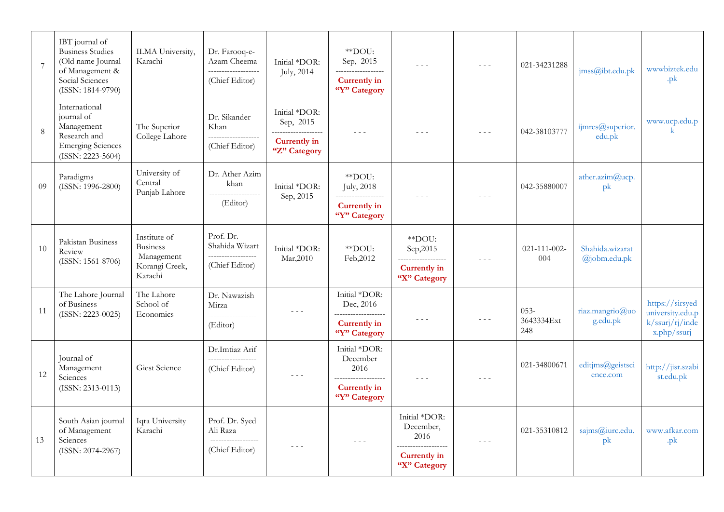| $\overline{7}$ | IBT journal of<br><b>Business Studies</b><br>(Old name Journal<br>of Management &<br>Social Sciences<br>(ISSN: 1814-9790) | ILMA University,<br>Karachi                                                | Dr. Farooq-e-<br>Azam Cheema<br>____________________<br>(Chief Editor) | Initial *DOR:<br><b>July</b> , 2014                                               | **DOU:<br>Sep, 2015<br>------------------<br><b>Currently in</b><br>"Y" Category          | $\omega_{\rm c}$ and $\omega_{\rm c}$                                                            |               | 021-34231288                 | jms@ibt.edu.pdf                      | wwwbiztek.edu<br>.pk                                                  |
|----------------|---------------------------------------------------------------------------------------------------------------------------|----------------------------------------------------------------------------|------------------------------------------------------------------------|-----------------------------------------------------------------------------------|-------------------------------------------------------------------------------------------|--------------------------------------------------------------------------------------------------|---------------|------------------------------|--------------------------------------|-----------------------------------------------------------------------|
| 8              | International<br>journal of<br>Management<br>Research and<br><b>Emerging Sciences</b><br>(ISSN: 2223-5604)                | The Superior<br>College Lahore                                             | Dr. Sikander<br>Khan<br>____________________<br>(Chief Editor)         | Initial *DOR:<br>Sep, 2015<br>___________________<br>Currently in<br>"Z" Category | $\omega_{\rm c}$ and $\omega_{\rm c}$                                                     | $- - -$                                                                                          |               | 042-38103777                 | ijmres@superior.<br>edu.pk           | www.ucp.edu.p<br>$\mathbf{k}$                                         |
| 09             | Paradigms<br>(ISSN: 1996-2800)                                                                                            | University of<br>Central<br>Punjab Lahore                                  | Dr. Ather Azim<br>khan<br>___________________<br>(Editor)              | Initial *DOR:<br>Sep, 2015                                                        | **DOU:<br>July, 2018<br>__________________<br>Currently in<br>"Y" Category                | $  -$                                                                                            | $- - -$       | 042-35880007                 | ather.azim $@$ ucp.<br>pk            |                                                                       |
| 10             | Pakistan Business<br>Review<br>$(ISSN: 1561-8706)$                                                                        | Institute of<br><b>Business</b><br>Management<br>Korangi Creek,<br>Karachi | Prof. Dr.<br>Shahida Wizart<br>__________________<br>(Chief Editor)    | Initial *DOR:<br>Mar, 2010                                                        | $*$ DOU:<br>Feb, 2012                                                                     | **DOU:<br>Sep, 2015<br><b>Currently</b> in<br>"X" Category                                       | $\frac{1}{2}$ | $021 - 111 - 002 -$<br>004   | Shahida.wizarat<br>$(a)$ jobm.edu.pk |                                                                       |
| 11             | The Lahore Journal<br>of Business<br>$(ISSN: 2223-0025)$                                                                  | The Lahore<br>School of<br>Economics                                       | Dr. Nawazish<br>Mirza<br>__________________<br>(Editor)                | $\omega_{\rm c}$ and $\omega_{\rm c}$                                             | Initial *DOR:<br>Dec, 2016<br>____________________<br><b>Currently in</b><br>"Y" Category | $\frac{1}{2} \left( \frac{1}{2} \right) \left( \frac{1}{2} \right) \left( \frac{1}{2} \right)$   | $  -$         | $053 -$<br>3643334Ext<br>248 | riaz.mangrio@uo<br>g.edu.pk          | https://sirsyed<br>university.edu.p<br>k/ssurj/rj/inde<br>x.php/ssurj |
| 12             | Journal of<br>Management<br>Sciences<br>$(ISSN: 2313-0113)$                                                               | Giest Science                                                              | Dr.Imtiaz Arif<br>------------------<br>(Chief Editor)                 | $\frac{1}{2} \left( \frac{1}{2} \right) \left( \frac{1}{2} \right)$               | Initial *DOR:<br>December<br>2016<br>Currently in<br>"Y" Category                         |                                                                                                  | $\frac{1}{2}$ | 021-34800671                 | editjms@geistsci<br>ence.com         | http://jisr.szabi<br>st.edu.pk                                        |
| 13             | South Asian journal<br>of Management<br>Sciences<br>(ISSN: 2074-2967)                                                     | Iqra University<br>Karachi                                                 | Prof. Dr. Syed<br>Ali Raza<br>___________________<br>(Chief Editor)    | $  -$                                                                             | $\frac{1}{2}$                                                                             | Initial *DOR:<br>December,<br>2016<br>___________________<br><b>Currently</b> in<br>"X" Category | $\frac{1}{2}$ | 021-35310812                 | sajms@iurc.edu.<br>pk                | www.afkar.com<br>.pk                                                  |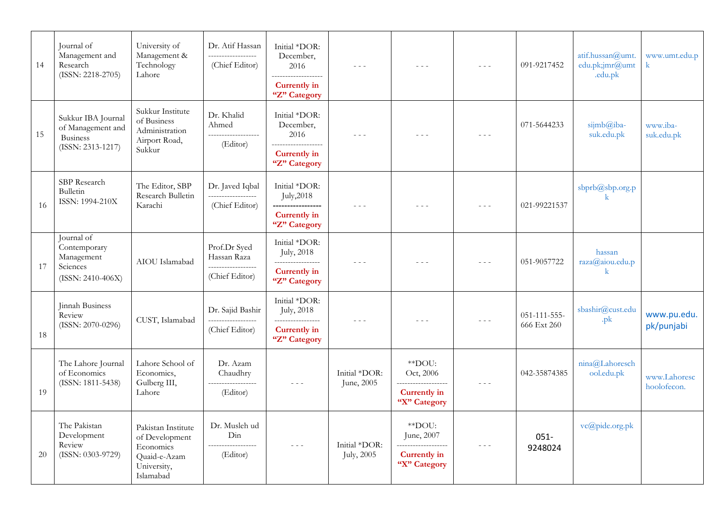| 14 | Journal of<br>Management and<br>Research<br>$(ISSN: 2218-2705)$                 | University of<br>Management &<br>Technology<br>Lahore                                         | Dr. Atif Hassan<br>------------<br>(Chief Editor)                   | Initial *DOR:<br>December,<br>2016<br>-------------------<br><b>Currently in</b><br>"Z" Category                                                                                                                                                                                                                                                                                             | $\frac{1}{2} \frac{1}{2} \frac{1}{2} \frac{1}{2} \frac{1}{2} \frac{1}{2} \frac{1}{2} \frac{1}{2} \frac{1}{2} \frac{1}{2} \frac{1}{2} \frac{1}{2} \frac{1}{2} \frac{1}{2} \frac{1}{2} \frac{1}{2} \frac{1}{2} \frac{1}{2} \frac{1}{2} \frac{1}{2} \frac{1}{2} \frac{1}{2} \frac{1}{2} \frac{1}{2} \frac{1}{2} \frac{1}{2} \frac{1}{2} \frac{1}{2} \frac{1}{2} \frac{1}{2} \frac{1}{2} \frac{$ | $\sim$ $\sim$ $\sim$                                        | $\frac{1}{2} \frac{1}{2} \frac{1}{2} \frac{1}{2} \frac{1}{2} \frac{1}{2} \frac{1}{2} \frac{1}{2} \frac{1}{2} \frac{1}{2} \frac{1}{2} \frac{1}{2} \frac{1}{2} \frac{1}{2} \frac{1}{2} \frac{1}{2} \frac{1}{2} \frac{1}{2} \frac{1}{2} \frac{1}{2} \frac{1}{2} \frac{1}{2} \frac{1}{2} \frac{1}{2} \frac{1}{2} \frac{1}{2} \frac{1}{2} \frac{1}{2} \frac{1}{2} \frac{1}{2} \frac{1}{2} \frac{$ | 091-9217452                 | atif.hussan@umt.<br>edu.pk;jmr@umt<br>.edu.pk | www.umt.edu.p               |
|----|---------------------------------------------------------------------------------|-----------------------------------------------------------------------------------------------|---------------------------------------------------------------------|----------------------------------------------------------------------------------------------------------------------------------------------------------------------------------------------------------------------------------------------------------------------------------------------------------------------------------------------------------------------------------------------|----------------------------------------------------------------------------------------------------------------------------------------------------------------------------------------------------------------------------------------------------------------------------------------------------------------------------------------------------------------------------------------------|-------------------------------------------------------------|----------------------------------------------------------------------------------------------------------------------------------------------------------------------------------------------------------------------------------------------------------------------------------------------------------------------------------------------------------------------------------------------|-----------------------------|-----------------------------------------------|-----------------------------|
| 15 | Sukkur IBA Journal<br>of Management and<br><b>Business</b><br>(ISSN: 2313-1217) | Sukkur Institute<br>of Business<br>Administration<br>Airport Road,<br>Sukkur                  | Dr. Khalid<br>Ahmed<br>___________________<br>(Editor)              | Initial *DOR:<br>December,<br>2016<br>-------------------<br><b>Currently in</b><br>"Z" Category                                                                                                                                                                                                                                                                                             | $- - -$                                                                                                                                                                                                                                                                                                                                                                                      | $- - -$                                                     | $\frac{1}{2}$                                                                                                                                                                                                                                                                                                                                                                                | 071-5644233                 | sijmb@iba-<br>suk.edu.pk                      | www.iba-<br>suk.edu.pk      |
| 16 | SBP Research<br>Bulletin<br>ISSN: 1994-210X                                     | The Editor, SBP<br>Research Bulletin<br>Karachi                                               | Dr. Javed Iqbal<br>-------------------<br>(Chief Editor)            | Initial *DOR:<br>July, 2018<br>-----------------<br><b>Currently in</b><br>"Z" Category                                                                                                                                                                                                                                                                                                      | $  -$                                                                                                                                                                                                                                                                                                                                                                                        | $- - -$                                                     | $- - -$                                                                                                                                                                                                                                                                                                                                                                                      | 021-99221537                | sbprb@sbp.org.p<br>$\bf k$                    |                             |
| 17 | Journal of<br>Contemporary<br>Management<br>Sciences<br>$(ISSN: 2410-406X)$     | AIOU Islamabad                                                                                | Prof.Dr Syed<br>Hassan Raza<br>------------------<br>(Chief Editor) | Initial *DOR:<br><b>July</b> , 2018<br>-----------------<br>Currently in<br>"Z" Category                                                                                                                                                                                                                                                                                                     | $  -$                                                                                                                                                                                                                                                                                                                                                                                        | $- - -$                                                     | $\frac{1}{2} \frac{1}{2} \frac{1}{2} \frac{1}{2} \frac{1}{2} \frac{1}{2} \frac{1}{2} \frac{1}{2} \frac{1}{2} \frac{1}{2} \frac{1}{2} \frac{1}{2} \frac{1}{2} \frac{1}{2} \frac{1}{2} \frac{1}{2} \frac{1}{2} \frac{1}{2} \frac{1}{2} \frac{1}{2} \frac{1}{2} \frac{1}{2} \frac{1}{2} \frac{1}{2} \frac{1}{2} \frac{1}{2} \frac{1}{2} \frac{1}{2} \frac{1}{2} \frac{1}{2} \frac{1}{2} \frac{$ | 051-9057722                 | hassan<br>raza@aiou.edu.p                     |                             |
| 18 | Jinnah Business<br>Review<br>(ISSN: 2070-0296)                                  | CUST, Islamabad                                                                               | Dr. Sajid Bashir<br>__________________<br>(Chief Editor)            | Initial *DOR:<br><b>July</b> , 2018<br>__________________<br><b>Currently in</b><br>"Z" Category                                                                                                                                                                                                                                                                                             | $  -$                                                                                                                                                                                                                                                                                                                                                                                        | $\sim$ $\sim$ $\sim$                                        | $\frac{1}{2} \frac{1}{2} \frac{1}{2} \frac{1}{2} \frac{1}{2} \frac{1}{2} \frac{1}{2} \frac{1}{2} \frac{1}{2} \frac{1}{2} \frac{1}{2} \frac{1}{2} \frac{1}{2} \frac{1}{2} \frac{1}{2} \frac{1}{2} \frac{1}{2} \frac{1}{2} \frac{1}{2} \frac{1}{2} \frac{1}{2} \frac{1}{2} \frac{1}{2} \frac{1}{2} \frac{1}{2} \frac{1}{2} \frac{1}{2} \frac{1}{2} \frac{1}{2} \frac{1}{2} \frac{1}{2} \frac{$ | 051-111-555-<br>666 Ext 260 | sbashir@cust.edu<br>$\n  pk\n$                | www.pu.edu.<br>pk/punjabi   |
|    | The Lahore Journal<br>of Economics<br>(ISSN: 1811-5438)                         | Lahore School of<br>Economics,<br>Gulberg III,                                                | Dr. Azam<br>Chaudhry<br>__________________                          | $\frac{1}{2} \frac{1}{2} \frac{1}{2} \frac{1}{2} \frac{1}{2} \frac{1}{2} \frac{1}{2} \frac{1}{2} \frac{1}{2} \frac{1}{2} \frac{1}{2} \frac{1}{2} \frac{1}{2} \frac{1}{2} \frac{1}{2} \frac{1}{2} \frac{1}{2} \frac{1}{2} \frac{1}{2} \frac{1}{2} \frac{1}{2} \frac{1}{2} \frac{1}{2} \frac{1}{2} \frac{1}{2} \frac{1}{2} \frac{1}{2} \frac{1}{2} \frac{1}{2} \frac{1}{2} \frac{1}{2} \frac{$ | Initial *DOR:<br>June, 2005                                                                                                                                                                                                                                                                                                                                                                  | **DOU:<br>Oct, 2006<br>-------------------                  | $\frac{1}{2} \frac{1}{2} \frac{1}{2} \frac{1}{2} \frac{1}{2} \frac{1}{2} \frac{1}{2} \frac{1}{2} \frac{1}{2} \frac{1}{2} \frac{1}{2} \frac{1}{2} \frac{1}{2} \frac{1}{2} \frac{1}{2} \frac{1}{2} \frac{1}{2} \frac{1}{2} \frac{1}{2} \frac{1}{2} \frac{1}{2} \frac{1}{2} \frac{1}{2} \frac{1}{2} \frac{1}{2} \frac{1}{2} \frac{1}{2} \frac{1}{2} \frac{1}{2} \frac{1}{2} \frac{1}{2} \frac{$ | 042-35874385                | nina@Lahoresch<br>ool.edu.pk                  | www.Lahoresc<br>hoolofecon. |
| 19 |                                                                                 | Lahore                                                                                        | (Editor)                                                            |                                                                                                                                                                                                                                                                                                                                                                                              |                                                                                                                                                                                                                                                                                                                                                                                              | Currently in<br>"X" Category                                |                                                                                                                                                                                                                                                                                                                                                                                              |                             |                                               |                             |
| 20 | The Pakistan<br>Development<br>Review<br>(ISSN: 0303-9729)                      | Pakistan Institute<br>of Development<br>Economics<br>Quaid-e-Azam<br>University,<br>Islamabad | Dr. Musleh ud<br>Din<br>(Editor)                                    | $\frac{1}{2} \frac{1}{2} \frac{1}{2} \frac{1}{2} \frac{1}{2} \frac{1}{2} \frac{1}{2} \frac{1}{2} \frac{1}{2} \frac{1}{2} \frac{1}{2} \frac{1}{2} \frac{1}{2} \frac{1}{2} \frac{1}{2} \frac{1}{2} \frac{1}{2} \frac{1}{2} \frac{1}{2} \frac{1}{2} \frac{1}{2} \frac{1}{2} \frac{1}{2} \frac{1}{2} \frac{1}{2} \frac{1}{2} \frac{1}{2} \frac{1}{2} \frac{1}{2} \frac{1}{2} \frac{1}{2} \frac{$ | Initial *DOR:<br><b>July</b> , 2005                                                                                                                                                                                                                                                                                                                                                          | **DOU:<br>June, 2007<br><b>Currently in</b><br>"X" Category | $\frac{1}{2} \frac{1}{2} \frac{1}{2} \frac{1}{2} \frac{1}{2} \frac{1}{2} \frac{1}{2} \frac{1}{2} \frac{1}{2} \frac{1}{2} \frac{1}{2} \frac{1}{2} \frac{1}{2} \frac{1}{2} \frac{1}{2} \frac{1}{2} \frac{1}{2} \frac{1}{2} \frac{1}{2} \frac{1}{2} \frac{1}{2} \frac{1}{2} \frac{1}{2} \frac{1}{2} \frac{1}{2} \frac{1}{2} \frac{1}{2} \frac{1}{2} \frac{1}{2} \frac{1}{2} \frac{1}{2} \frac{$ | $051 -$<br>9248024          | vc@pide.org.pk                                |                             |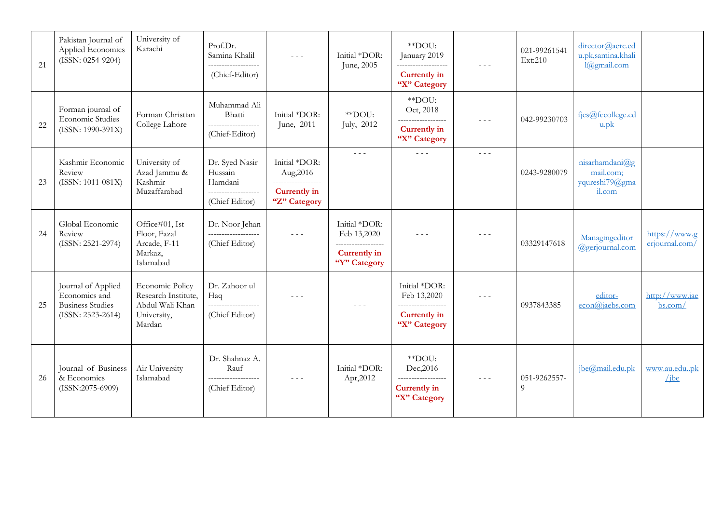| 21 | Pakistan Journal of<br>Applied Economics<br>$(ISSN: 0254-9204)$                       | University of<br>Karachi                                                           | Prof.Dr.<br>Samina Khalil<br>____________________<br>(Chief-Editor)           | $  -$                                                                                   | Initial *DOR:<br>June, 2005                                                        | **DOU:<br>January 2019<br>-------------------<br><b>Currently</b> in<br>"X" Category       | $\frac{1}{2} \frac{1}{2} \frac{1}{2} \frac{1}{2} \frac{1}{2} \frac{1}{2} \frac{1}{2} \frac{1}{2} \frac{1}{2} \frac{1}{2} \frac{1}{2} \frac{1}{2} \frac{1}{2} \frac{1}{2} \frac{1}{2} \frac{1}{2} \frac{1}{2} \frac{1}{2} \frac{1}{2} \frac{1}{2} \frac{1}{2} \frac{1}{2} \frac{1}{2} \frac{1}{2} \frac{1}{2} \frac{1}{2} \frac{1}{2} \frac{1}{2} \frac{1}{2} \frac{1}{2} \frac{1}{2} \frac{$ | 021-99261541<br>Ext:210  | director@aerc.ed<br>u.pk,samina.khali<br>l@gmail.com       |                                 |
|----|---------------------------------------------------------------------------------------|------------------------------------------------------------------------------------|-------------------------------------------------------------------------------|-----------------------------------------------------------------------------------------|------------------------------------------------------------------------------------|--------------------------------------------------------------------------------------------|----------------------------------------------------------------------------------------------------------------------------------------------------------------------------------------------------------------------------------------------------------------------------------------------------------------------------------------------------------------------------------------------|--------------------------|------------------------------------------------------------|---------------------------------|
| 22 | Forman journal of<br>Economic Studies<br>(ISSN: 1990-391X)                            | Forman Christian<br>College Lahore                                                 | Muhammad Ali<br>Bhatti<br>___________________<br>(Chief-Editor)               | Initial *DOR:<br>June, 2011                                                             | **DOU:<br>July, 2012                                                               | **DOU:<br>Oct, 2018<br>___________________<br><b>Currently</b> in<br>"X" Category          | $  -$                                                                                                                                                                                                                                                                                                                                                                                        | 042-99230703             | fjes@fccollege.ed<br>$u$ .p $k$                            |                                 |
| 23 | Kashmir Economic<br>Review<br>$(ISSN: 1011-081X)$                                     | University of<br>Azad Jammu &<br>Kashmir<br>Muzaffarabad                           | Dr. Syed Nasir<br>Hussain<br>Hamdani<br>___________________<br>(Chief Editor) | Initial *DOR:<br>Aug, 2016<br>------------------<br><b>Currently</b> in<br>"Z" Category | $\omega_{\rm{eff}}$ and $\omega_{\rm{eff}}$                                        | $\omega_{\rm{eff}}$ and $\omega_{\rm{eff}}$                                                | $\omega_{\rm c}$ and $\omega_{\rm c}$                                                                                                                                                                                                                                                                                                                                                        | 0243-9280079             | nisarhamdani $@g$<br>mail.com;<br>yqureshi79@gma<br>il.com |                                 |
| 24 | Global Economic<br>Review<br>(ISSN: 2521-2974)                                        | Office#01, Ist<br>Floor, Fazal<br>Arcade, F-11<br>Markaz,<br>Islamabad             | Dr. Noor Jehan<br>-------------------<br>(Chief Editor)                       | $\omega_{\rm c}$ and $\omega_{\rm c}$                                                   | Initial *DOR:<br>Feb 13,2020<br>------------------<br>Currently in<br>"Y" Category | $  -$                                                                                      | $- - -$                                                                                                                                                                                                                                                                                                                                                                                      | 03329147618              | Managingeditor<br>@gerjournal.com                          | https://www.g<br>erjournal.com/ |
| 25 | Journal of Applied<br>Economics and<br><b>Business Studies</b><br>$(ISSN: 2523-2614)$ | Economic Policy<br>Research Institute,<br>Abdul Wali Khan<br>University,<br>Mardan | Dr. Zahoor ul<br>Haq<br>(Chief Editor)                                        | $  -$                                                                                   | $\frac{1}{2}$                                                                      | Initial *DOR:<br>Feb 13,2020<br>___________________<br><b>Currently</b> in<br>"X" Category | $\omega_{\rm c}$ and $\omega_{\rm c}$                                                                                                                                                                                                                                                                                                                                                        | 0937843385               | editor-<br>econ@ialebs.com                                 | http://www.jae<br>bs.com/       |
| 26 | Journal of Business<br>& Economics<br>$(ISSN:2075-6909)$                              | Air University<br>Islamabad                                                        | Dr. Shahnaz A.<br>Rauf<br>--------------------<br>(Chief Editor)              | $- - -$                                                                                 | Initial *DOR:<br>Apr, 2012                                                         | **DOU:<br>Dec, 2016<br>------------------<br>Currently in<br>"X" Category                  | $- - -$                                                                                                                                                                                                                                                                                                                                                                                      | 051-9262557-<br>$\Omega$ | jbe@mail.edu.pk                                            | www.au.edupk<br>$\angle$ ibe    |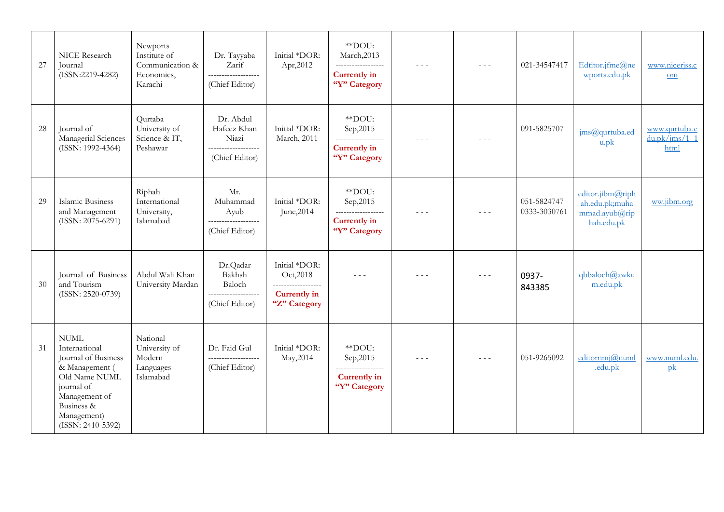| 27 | NICE Research<br>Journal<br>$(ISSN:2219-4282)$                                                                                                                          | Newports<br>Institute of<br>Communication &<br>Economics,<br>Karachi | Dr. Tayyaba<br>Zarif<br>--------------------<br>(Chief Editor)             | Initial *DOR:<br>Apr,2012                                                               | **DOU:<br>March, 2013<br>__________________<br><b>Currently in</b><br>"Y" Category | $\frac{1}{2}$                                                             | $\frac{1}{2}$ | 021-34547417                | Edtitor.jfme@ne<br>wports.edu.pk                                  | www.nicerjss.c<br>$\underline{\text{om}}$ |
|----|-------------------------------------------------------------------------------------------------------------------------------------------------------------------------|----------------------------------------------------------------------|----------------------------------------------------------------------------|-----------------------------------------------------------------------------------------|------------------------------------------------------------------------------------|---------------------------------------------------------------------------|---------------|-----------------------------|-------------------------------------------------------------------|-------------------------------------------|
| 28 | Journal of<br>Managerial Sciences<br>$(ISSN: 1992-4364)$                                                                                                                | Qurtaba<br>University of<br>Science & IT,<br>Peshawar                | Dr. Abdul<br>Hafeez Khan<br>Niazi<br>-------------------<br>(Chief Editor) | Initial *DOR:<br>March, 2011                                                            | **DOU:<br>Sep, 2015<br>------------------<br><b>Currently in</b><br>"Y" Category   | $- - -$                                                                   |               | 091-5825707                 | jms@qurtuba.ed<br>u.pk                                            | www.qurtuba.e<br>du.pk/ims/1 1<br>html    |
| 29 | Islamic Business<br>and Management<br>$(ISSN: 2075-6291)$                                                                                                               | Riphah<br>International<br>University,<br>Islamabad                  | Mr.<br>Muhammad<br>Ayub<br>__________________<br>(Chief Editor)            | Initial *DOR:<br>June, 2014                                                             | **DOU:<br>Sep, 2015<br>___________________<br><b>Currently in</b><br>"Y" Category  | $- - -$                                                                   | $  -$         | 051-5824747<br>0333-3030761 | editor.jibm@riph<br>ah.edu.pk;muha<br>mmad.ayub@rip<br>hah.edu.pk | ww.jibm.org                               |
| 30 | Journal of Business<br>and Tourism<br>$(ISSN: 2520-0739)$                                                                                                               | Abdul Wali Khan<br>University Mardan                                 | Dr.Qadar<br>Bakhsh<br>Baloch<br>-------------------<br>(Chief Editor)      | Initial *DOR:<br>Oct, 2018<br>------------------<br><b>Currently in</b><br>"Z" Category | $- - -$                                                                            | $\sim$ $\sim$ $\sim$                                                      | $  -$         | 0937-<br>843385             | qbbaloch@awku<br>m.edu.pk                                         |                                           |
| 31 | <b>NUML</b><br>International<br>Journal of Business<br>& Management (<br>Old Name NUML<br>journal of<br>Management of<br>Business &<br>Management)<br>(ISSN: 2410-5392) | National<br>University of<br>Modern<br>Languages<br>Islamabad        | Dr. Faid Gul<br>(Chief Editor)                                             | Initial *DOR:<br>May, 2014                                                              | **DOU:<br>Sep, 2015<br>------------------<br><b>Currently in</b><br>"Y" Category   | $\frac{1}{2} \frac{1}{2} \frac{1}{2} \frac{1}{2} \frac{1}{2} \frac{1}{2}$ |               | 051-9265092                 | editornmj@numl<br>.edu.pk                                         | www.numl.edu.<br>pk                       |